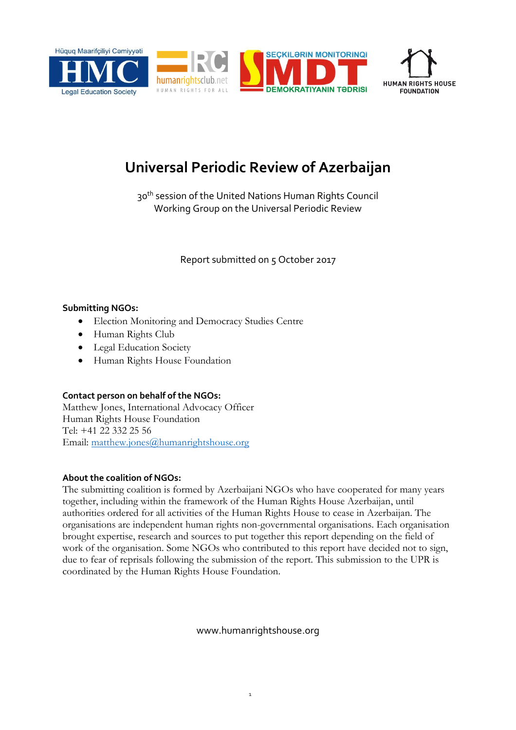



# **Universal Periodic Review of Azerbaijan**

30<sup>th</sup> session of the United Nations Human Rights Council Working Group on the Universal Periodic Review

Report submitted on 5 October 2017

### **Submitting NGOs:**

- Election Monitoring and Democracy Studies Centre
- Human Rights Club
- Legal Education Society
- Human Rights House Foundation

## **Contact person on behalf of the NGOs:**

Matthew Jones, International Advocacy Officer Human Rights House Foundation Tel: +41 22 332 25 56 Email: [matthew.jones@humanrightshouse.org](mailto:matthew.jones@humanrightshouse.org)

## **About the coalition of NGOs:**

The submitting coalition is formed by Azerbaijani NGOs who have cooperated for many years together, including within the framework of the Human Rights House Azerbaijan, until authorities ordered for all activities of the Human Rights House to cease in Azerbaijan. The organisations are independent human rights non-governmental organisations. Each organisation brought expertise, research and sources to put together this report depending on the field of work of the organisation. Some NGOs who contributed to this report have decided not to sign, due to fear of reprisals following the submission of the report. This submission to the UPR is coordinated by the Human Rights House Foundation.

www.humanrightshouse.org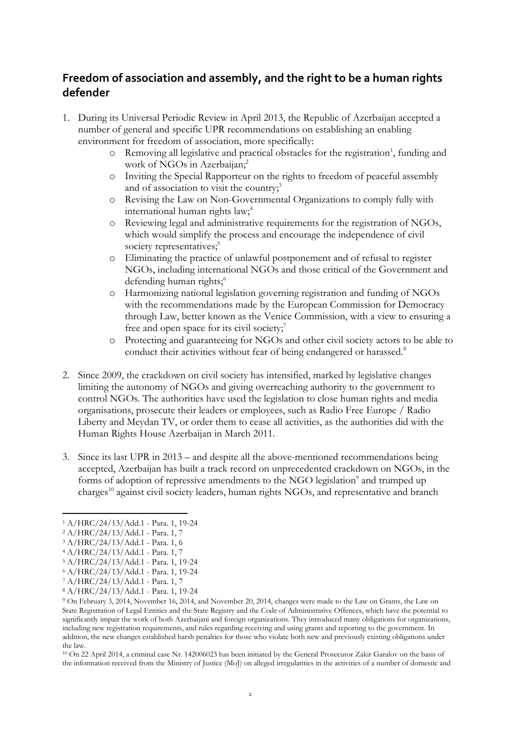# **Freedom of association and assembly, and the right to be a human rights defender**

- 1. During its Universal Periodic Review in April 2013, the Republic of Azerbaijan accepted a number of general and specific UPR recommendations on establishing an enabling environment for freedom of association, more specifically:
	- $\circ$  Removing all legislative and practical obstacles for the registration<sup>1</sup>, funding and work of NGOs in Azerbaijan; 2
	- o Inviting the Special Rapporteur on the rights to freedom of peaceful assembly and of association to visit the country;<sup>3</sup>
	- o Revising the Law on Non-Governmental Organizations to comply fully with international human rights law; 4
	- o Reviewing legal and administrative requirements for the registration of NGOs, which would simplify the process and encourage the independence of civil society representatives;<sup>5</sup>
	- o Eliminating the practice of unlawful postponement and of refusal to register NGOs, including international NGOs and those critical of the Government and defending human rights; 6
	- o Harmonizing national legislation governing registration and funding of NGOs with the recommendations made by the European Commission for Democracy through Law, better known as the Venice Commission, with a view to ensuring a free and open space for its civil society;<sup>7</sup>
	- o Protecting and guaranteeing for NGOs and other civil society actors to be able to conduct their activities without fear of being endangered or harassed.<sup>8</sup>
- 2. Since 2009, the crackdown on civil society has intensified, marked by legislative changes limiting the autonomy of NGOs and giving overreaching authority to the government to control NGOs. The authorities have used the legislation to close human rights and media organisations, prosecute their leaders or employees, such as Radio Free Europe / Radio Liberty and Meydan TV, or order them to cease all activities, as the authorities did with the Human Rights House Azerbaijan in March 2011.
- 3. Since its last UPR in 2013 and despite all the above-mentioned recommendations being accepted, Azerbaijan has built a track record on unprecedented crackdown on NGOs, in the forms of adoption of repressive amendments to the NGO legislation<sup>9</sup> and trumped up charges<sup>10</sup> against civil society leaders, human rights NGOs, and representative and branch

 $\overline{a}$ 

<sup>10</sup> On 22 April 2014, a criminal case Nr. 142006023 has been initiated by the General Prosecutor Zakir Garalov on the basis of the information received from the Ministry of Justice (MoJ) on alleged irregularities in the activities of a number of domestic and

<sup>1</sup> A/HRC/24/13/Add.1 - Para. 1, 19-24

<sup>2</sup> A/HRC/24/13/Add.1 - Para. 1, 7

<sup>3</sup> A/HRC/24/13/Add.1 - Para. 1, 6

<sup>4</sup> A/HRC/24/13/Add.1 - Para. 1, 7

<sup>5</sup> A/HRC/24/13/Add.1 - Para. 1, 19-24

<sup>6</sup> A/HRC/24/13/Add.1 - Para. 1, 19-24

<sup>7</sup> A/HRC/24/13/Add.1 - Para. 1, 7

<sup>8</sup> A/HRC/24/13/Add.1 - Para. 1, 19-24

<sup>9</sup> On February 3, 2014, November 16, 2014, and November 20, 2014, changes were made to the Law on Grants, the Law on State Registration of Legal Entities and the State Registry and the Code of Administrative Offences, which have the potential to significantly impair the work of both Azerbaijani and foreign organizations. They introduced many obligations for organizations, including new registration requirements, and rules regarding receiving and using grants and reporting to the government. In addition, the new changes established harsh penalties for those who violate both new and previously existing obligations under the law.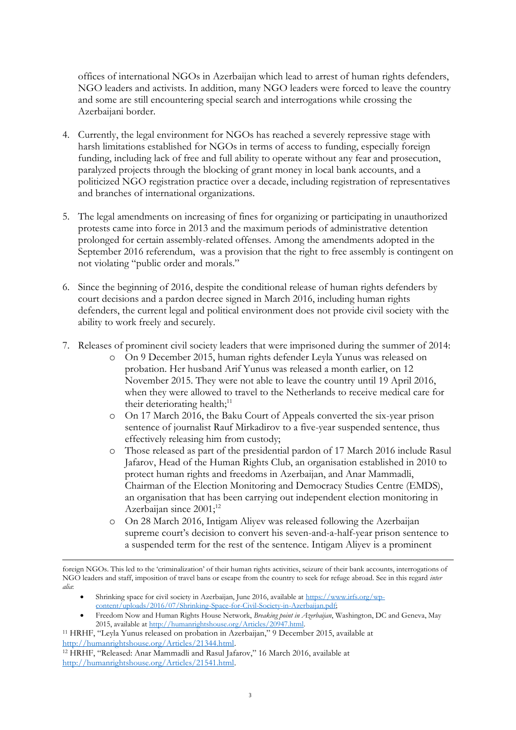offices of international NGOs in Azerbaijan which lead to arrest of human rights defenders, NGO leaders and activists. In addition, many NGO leaders were forced to leave the country and some are still encountering special search and interrogations while crossing the Azerbaijani border.

- 4. Currently, the legal environment for NGOs has reached a severely repressive stage with harsh limitations established for NGOs in terms of access to funding, especially foreign funding, including lack of free and full ability to operate without any fear and prosecution, paralyzed projects through the blocking of grant money in local bank accounts, and a politicized NGO registration practice over a decade, including registration of representatives and branches of international organizations.
- 5. The legal amendments on increasing of fines for organizing or participating in unauthorized protests came into force in 2013 and the maximum periods of administrative detention prolonged for certain assembly-related offenses. Among the amendments adopted in the September 2016 referendum, was a provision that the right to free assembly is contingent on not violating "public order and morals."
- 6. Since the beginning of 2016, despite the conditional release of human rights defenders by court decisions and a pardon decree signed in March 2016, including human rights defenders, the current legal and political environment does not provide civil society with the ability to work freely and securely.
- 7. Releases of prominent civil society leaders that were imprisoned during the summer of 2014:
	- o On 9 December 2015, human rights defender Leyla Yunus was released on probation. Her husband Arif Yunus was released a month earlier, on 12 November 2015. They were not able to leave the country until 19 April 2016, when they were allowed to travel to the Netherlands to receive medical care for their deteriorating health; $^{11}$
	- o On 17 March 2016, the Baku Court of Appeals converted the six-year prison sentence of journalist Rauf Mirkadirov to a five-year suspended sentence, thus effectively releasing him from custody;
	- o Those released as part of the presidential pardon of 17 March 2016 include Rasul Jafarov, Head of the Human Rights Club, an organisation established in 2010 to protect human rights and freedoms in Azerbaijan, and Anar Mammadli, Chairman of the Election Monitoring and Democracy Studies Centre (EMDS), an organisation that has been carrying out independent election monitoring in Azerbaijan since  $2001$ ;<sup>12</sup>
	- o On 28 March 2016, Intigam Aliyev was released following the Azerbaijan supreme court's decision to convert his seven-and-a-half-year prison sentence to a suspended term for the rest of the sentence. Intigam Aliyev is a prominent

- Shrinking space for civil society in Azerbaijan, June 2016, available a[t https://www.irfs.org/wp](https://www.irfs.org/wp-content/uploads/2016/07/Shrinking-Space-for-Civil-Society-in-Azerbaijan.pdf)[content/uploads/2016/07/Shrinking-Space-for-Civil-Society-in-Azerbaijan.pdf;](https://www.irfs.org/wp-content/uploads/2016/07/Shrinking-Space-for-Civil-Society-in-Azerbaijan.pdf)
- Freedom Now and Human Rights House Network, *Breaking point in Azerbaijan*, Washington, DC and Geneva, May 2015, available at [http://humanrightshouse.org/Articles/20947.html.](http://humanrightshouse.org/Articles/20947.html)
- <sup>11</sup> HRHF, "Leyla Yunus released on probation in Azerbaijan," 9 December 2015, available at [http://humanrightshouse.org/Articles/21344.html.](http://humanrightshouse.org/Articles/21344.html)

 $\overline{a}$ 

foreign NGOs. This led to the 'criminalization' of their human rights activities, seizure of their bank accounts, interrogations of NGO leaders and staff, imposition of travel bans or escape from the country to seek for refuge abroad. See in this regard *inter alia*:

<sup>12</sup> HRHF, "Released: Anar Mammadli and Rasul Jafarov," 16 March 2016, available at [http://humanrightshouse.org/Articles/21541.html.](http://humanrightshouse.org/Articles/21541.html)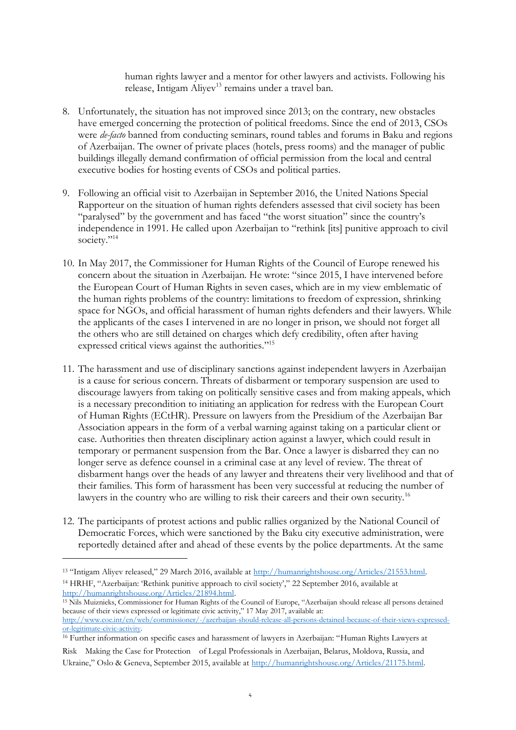human rights lawyer and a mentor for other lawyers and activists. Following his release, Intigam Aliyev<sup>13</sup> remains under a travel ban.

- 8. Unfortunately, the situation has not improved since 2013; on the contrary, new obstacles have emerged concerning the protection of political freedoms. Since the end of 2013, CSOs were *de-facto* banned from conducting seminars, round tables and forums in Baku and regions of Azerbaijan. The owner of private places (hotels, press rooms) and the manager of public buildings illegally demand confirmation of official permission from the local and central executive bodies for hosting events of CSOs and political parties.
- 9. Following an official visit to Azerbaijan in September 2016, the United Nations Special Rapporteur on the situation of human rights defenders assessed that civil society has been "paralysed" by the government and has faced "the worst situation" since the country's independence in 1991. He called upon Azerbaijan to "rethink [its] punitive approach to civil society." 14
- 10. In May 2017, the Commissioner for Human Rights of the Council of Europe renewed his concern about the situation in Azerbaijan. He wrote: "since 2015, I have intervened before the European Court of Human Rights in seven cases, which are in my view emblematic of the human rights problems of the country: limitations to freedom of expression, shrinking space for NGOs, and official harassment of human rights defenders and their lawyers. While the applicants of the cases I intervened in are no longer in prison, we should not forget all the others who are still detained on charges which defy credibility, often after having expressed critical views against the authorities."<sup>15</sup>
- 11. The harassment and use of disciplinary sanctions against independent lawyers in Azerbaijan is a cause for serious concern. Threats of disbarment or temporary suspension are used to discourage lawyers from taking on politically sensitive cases and from making appeals, which is a necessary precondition to initiating an application for redress with the European Court of Human Rights (ECtHR). Pressure on lawyers from the Presidium of the Azerbaijan Bar Association appears in the form of a verbal warning against taking on a particular client or case. Authorities then threaten disciplinary action against a lawyer, which could result in temporary or permanent suspension from the Bar. Once a lawyer is disbarred they can no longer serve as defence counsel in a criminal case at any level of review. The threat of disbarment hangs over the heads of any lawyer and threatens their very livelihood and that of their families. This form of harassment has been very successful at reducing the number of lawyers in the country who are willing to risk their careers and their own security.<sup>16</sup>
- 12. The participants of protest actions and public rallies organized by the National Council of Democratic Forces, which were sanctioned by the Baku city executive administration, were reportedly detained after and ahead of these events by the police departments. At the same

 $\overline{a}$ 

<sup>15</sup> Nils Muiznieks, Commissioner for Human Rights of the Council of Europe, "Azerbaijan should release all persons detained because of their views expressed or legitimate civic activity," 17 May 2017, available at: [http://www.coe.int/en/web/commissioner/-/azerbaijan-should-release-all-persons-detained-because-of-their-views-expressed-](http://www.coe.int/en/web/commissioner/-/azerbaijan-should-release-all-persons-detained-because-of-their-views-expressed-or-legitimate-civic-activity)

<sup>&</sup>lt;sup>13</sup> "Intigam Aliyev released," 29 March 2016, available at http://humanrightshouse.org/Articles/21553.html. <sup>14</sup> HRHF, "Azerbaijan: 'Rethink punitive approach to civil society'," 22 September 2016, available at [http://humanrightshouse.org/Articles/21894.html.](http://humanrightshouse.org/Articles/21894.html)

[or-legitimate-civic-activity.](http://www.coe.int/en/web/commissioner/-/azerbaijan-should-release-all-persons-detained-because-of-their-views-expressed-or-legitimate-civic-activity) <sup>16</sup> Further information on specific cases and harassment of lawyers in Azerbaijan: "Human Rights Lawyers at Risk Making the Case for Protection of Legal Professionals in Azerbaijan, Belarus, Moldova, Russia, and Ukraine," Oslo & Geneva, September 2015, available at [http://humanrightshouse.org/Articles/21175.html.](http://humanrightshouse.org/Articles/21175.html)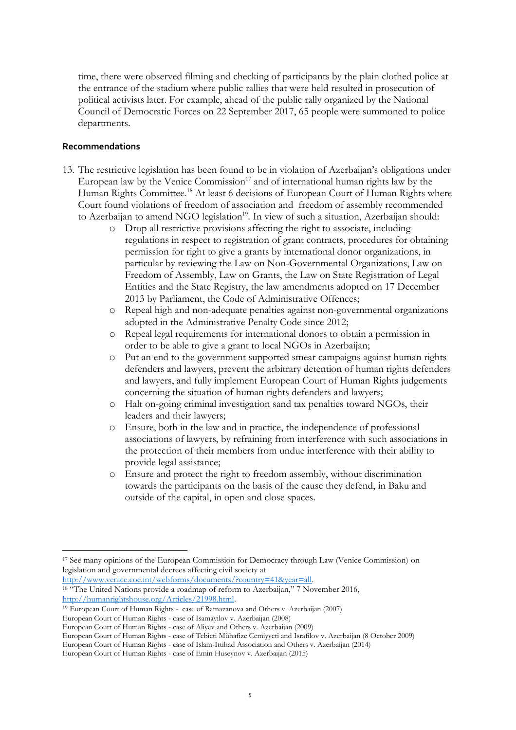time, there were observed filming and checking of participants by the plain clothed police at the entrance of the stadium where public rallies that were held resulted in prosecution of political activists later. For example, ahead of the public rally organized by the National Council of Democratic Forces on 22 September 2017, 65 people were summoned to police departments.

#### **Recommendations**

- 13. The restrictive legislation has been found to be in violation of Azerbaijan's obligations under European law by the Venice Commission $17$  and of international human rights law by the Human Rights Committee.<sup>18</sup> At least 6 decisions of European Court of Human Rights where Court found violations of freedom of association and freedom of assembly recommended to Azerbaijan to amend NGO legislation<sup>19</sup>. In view of such a situation, Azerbaijan should:
	- o Drop all restrictive provisions affecting the right to associate, including regulations in respect to registration of grant contracts, procedures for obtaining permission for right to give a grants by international donor organizations, in particular by reviewing the Law on Non-Governmental Organizations, Law on Freedom of Assembly, Law on Grants, the Law on State Registration of Legal Entities and the State Registry, the law amendments adopted on 17 December 2013 by Parliament, the Code of Administrative Offences;
	- o Repeal high and non-adequate penalties against non-governmental organizations adopted in the Administrative Penalty Code since 2012;
	- o Repeal legal requirements for international donors to obtain a permission in order to be able to give a grant to local NGOs in Azerbaijan;
	- o Put an end to the government supported smear campaigns against human rights defenders and lawyers, prevent the arbitrary detention of human rights defenders and lawyers, and fully implement European Court of Human Rights judgements concerning the situation of human rights defenders and lawyers;
	- o Halt on-going criminal investigation sand tax penalties toward NGOs, their leaders and their lawyers;
	- o Ensure, both in the law and in practice, the independence of professional associations of lawyers, by refraining from interference with such associations in the protection of their members from undue interference with their ability to provide legal assistance;
	- o Ensure and protect the right to freedom assembly, without discrimination towards the participants on the basis of the cause they defend, in Baku and outside of the capital, in open and close spaces.

[http://www.venice.coe.int/webforms/documents/?country=41&year=all.](http://www.venice.coe.int/webforms/documents/?country=41&year=all)  <sup>18</sup> "The United Nations provide a roadmap of reform to Azerbaijan," 7 November 2016, [http://humanrightshouse.org/Articles/21998.html.](http://humanrightshouse.org/Articles/21998.html)

<sup>19</sup> European Court of Human Rights - case of Ramazanova and Others v. Azerbaijan (2007)

 $\overline{a}$ <sup>17</sup> See many opinions of the European Commission for Democracy through Law (Venice Commission) on legislation and governmental decrees affecting civil society at

European Court of Human Rights - case of Isamayilov v. Azerbaijan (2008)

European Court of Human Rights - case of Aliyev and Others v. Azerbaijan (2009)

European Court of Human Rights - case of Tebieti Mühafize Cemiyyeti and Israfilov v. Azerbaijan (8 October 2009) European Court of Human Rights - case of Islam-Ittihad Association and Others v. Azerbaijan (2014)

European Court of Human Rights - case of Emin Huseynov v. Azerbaijan (2015)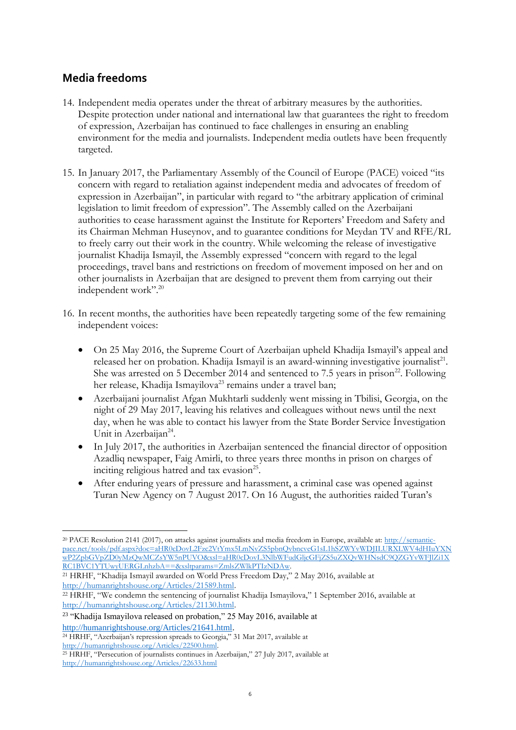# **Media freedoms**

- 14. Independent media operates under the threat of arbitrary measures by the authorities. Despite protection under national and international law that guarantees the right to freedom of expression, Azerbaijan has continued to face challenges in ensuring an enabling environment for the media and journalists. Independent media outlets have been frequently targeted.
- 15. In January 2017, the Parliamentary Assembly of the Council of Europe (PACE) voiced "its concern with regard to retaliation against independent media and advocates of freedom of expression in Azerbaijan", in particular with regard to "the arbitrary application of criminal legislation to limit freedom of expression". The Assembly called on the Azerbaijani authorities to cease harassment against the Institute for Reporters' Freedom and Safety and its Chairman Mehman Huseynov, and to guarantee conditions for Meydan TV and RFE/RL to freely carry out their work in the country. While welcoming the release of investigative journalist Khadija Ismayil, the Assembly expressed "concern with regard to the legal proceedings, travel bans and restrictions on freedom of movement imposed on her and on other journalists in Azerbaijan that are designed to prevent them from carrying out their independent work".<sup>20</sup>
- 16. In recent months, the authorities have been repeatedly targeting some of the few remaining independent voices:
	- On 25 May 2016, the Supreme Court of Azerbaijan upheld Khadija Ismayil's appeal and released her on probation. Khadija Ismayil is an award-winning investigative journalist<sup>21</sup>. She was arrested on 5 December 2014 and sentenced to 7.5 years in prison<sup>22</sup>. Following her release, Khadija Ismayilova<sup>23</sup> remains under a travel ban;
	- Azerbaijani journalist Afgan Mukhtarli suddenly went missing in Tbilisi, Georgia, on the night of 29 May 2017, leaving his relatives and colleagues without news until the next day, when he was able to contact his lawyer from the State Border Service İnvestigation Unit in Azerbaijan<sup>24</sup>.
	- In July 2017, the authorities in Azerbaijan sentenced the financial director of opposition Azadliq newspaper, Faig Amirli, to three years three months in prison on charges of inciting religious hatred and tax evasion<sup>25</sup>.
	- After enduring years of pressure and harassment, a criminal case was opened against Turan New Agency on 7 August 2017. On 16 August, the authorities raided Turan's

 $\overline{a}$ <sup>20</sup> PACE Resolution 2141 (2017), on attacks against journalists and media freedom in Europe, available at: [http://semantic](http://semantic-pace.net/tools/pdf.aspx?doc=aHR0cDovL2Fzc2VtYmx5LmNvZS5pbnQvbncveG1sL1hSZWYvWDJILURXLWV4dHIuYXNwP2ZpbGVpZD0yMzQwMCZsYW5nPUVO&xsl=aHR0cDovL3NlbWFudGljcGFjZS5uZXQvWHNsdC9QZGYvWFJlZi1XRC1BVC1YTUwyUERGLnhzbA==&xsltparams=ZmlsZWlkPTIzNDAw)[pace.net/tools/pdf.aspx?doc=aHR0cDovL2Fzc2VtYmx5LmNvZS5pbnQvbncveG1sL1hSZWYvWDJILURXLWV4dHIuYXN](http://semantic-pace.net/tools/pdf.aspx?doc=aHR0cDovL2Fzc2VtYmx5LmNvZS5pbnQvbncveG1sL1hSZWYvWDJILURXLWV4dHIuYXNwP2ZpbGVpZD0yMzQwMCZsYW5nPUVO&xsl=aHR0cDovL3NlbWFudGljcGFjZS5uZXQvWHNsdC9QZGYvWFJlZi1XRC1BVC1YTUwyUERGLnhzbA==&xsltparams=ZmlsZWlkPTIzNDAw) [wP2ZpbGVpZD0yMzQwMCZsYW5nPUVO&xsl=aHR0cDovL3NlbWFudGljcGFjZS5uZXQvWHNsdC9QZGYvWFJlZi1X](http://semantic-pace.net/tools/pdf.aspx?doc=aHR0cDovL2Fzc2VtYmx5LmNvZS5pbnQvbncveG1sL1hSZWYvWDJILURXLWV4dHIuYXNwP2ZpbGVpZD0yMzQwMCZsYW5nPUVO&xsl=aHR0cDovL3NlbWFudGljcGFjZS5uZXQvWHNsdC9QZGYvWFJlZi1XRC1BVC1YTUwyUERGLnhzbA==&xsltparams=ZmlsZWlkPTIzNDAw) [RC1BVC1YTUwyUERGLnhzbA==&xsltparams=ZmlsZWlkPTIzNDAw.](http://semantic-pace.net/tools/pdf.aspx?doc=aHR0cDovL2Fzc2VtYmx5LmNvZS5pbnQvbncveG1sL1hSZWYvWDJILURXLWV4dHIuYXNwP2ZpbGVpZD0yMzQwMCZsYW5nPUVO&xsl=aHR0cDovL3NlbWFudGljcGFjZS5uZXQvWHNsdC9QZGYvWFJlZi1XRC1BVC1YTUwyUERGLnhzbA==&xsltparams=ZmlsZWlkPTIzNDAw)

<sup>21</sup> HRHF, "Khadija Ismayil awarded on World Press Freedom Day," 2 May 2016, available at [http://humanrightshouse.org/Articles/21589.html.](http://humanrightshouse.org/Articles/21589.html)

<sup>22</sup> HRHF, "We condemn the sentencing of journalist Khadija Ismayilova," 1 September 2016, available at [http://humanrightshouse.org/Articles/21130.html.](http://humanrightshouse.org/Articles/21130.html)

<sup>23</sup> "Khadija Ismayilova released on probation," 25 May 2016, available at [http://humanrightshouse.org/Articles/21641.html.](http://humanrightshouse.org/Articles/21641.html)

<sup>24</sup> HRHF, "Azerbaijan's repression spreads to Georgia," 31 Mat 2017, available at [http://humanrightshouse.org/Articles/22500.html.](http://humanrightshouse.org/Articles/22500.html) 

<sup>25</sup> HRHF, "Persecution of journalists continues in Azerbaijan," 27 July 2017, available at <http://humanrightshouse.org/Articles/22633.html>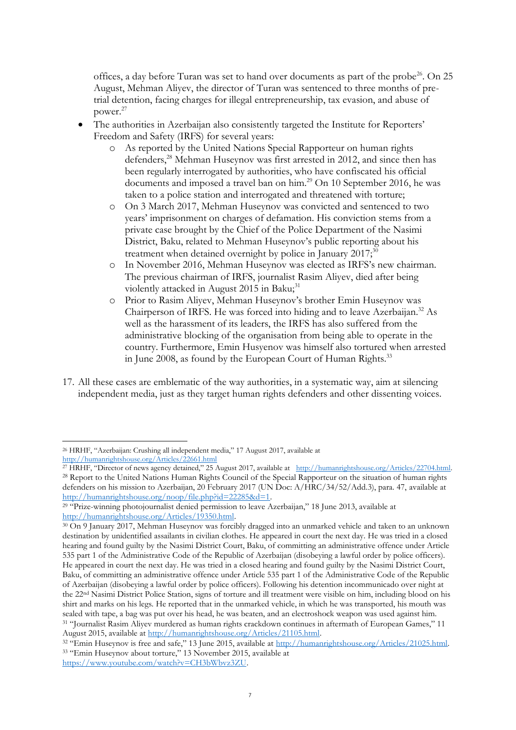offices, a day before Turan was set to hand over documents as part of the probe<sup>26</sup>. On 25 August, Mehman Aliyev, the director of Turan was sentenced to three months of pretrial detention, facing charges for illegal entrepreneurship, tax evasion, and abuse of power. 27

- The authorities in Azerbaijan also consistently targeted the Institute for Reporters' Freedom and Safety (IRFS) for several years:
	- o As reported by the United Nations Special Rapporteur on human rights defenders,<sup>28</sup> Mehman Huseynov was first arrested in 2012, and since then has been regularly interrogated by authorities, who have confiscated his official documents and imposed a travel ban on him.<sup>29</sup> On 10 September 2016, he was taken to a police station and interrogated and threatened with torture;
	- o On 3 March 2017, Mehman Huseynov was convicted and sentenced to two years' imprisonment on charges of defamation. His conviction stems from a private case brought by the Chief of the Police Department of the Nasimi District, Baku, related to Mehman Huseynov's public reporting about his treatment when detained overnight by police in January  $2017$ ;<sup>30</sup>
	- o In November 2016, Mehman Huseynov was elected as IRFS's new chairman. The previous chairman of IRFS, journalist Rasim Aliyev, died after being violently attacked in August 2015 in Baku;<sup>31</sup>
	- o Prior to Rasim Aliyev, Mehman Huseynov's brother Emin Huseynov was Chairperson of IRFS. He was forced into hiding and to leave Azerbaijan.<sup>32</sup> As well as the harassment of its leaders, the IRFS has also suffered from the administrative blocking of the organisation from being able to operate in the country. Furthermore, Emin Husyenov was himself also tortured when arrested in June 2008, as found by the European Court of Human Rights.<sup>33</sup>
- 17. All these cases are emblematic of the way authorities, in a systematic way, aim at silencing independent media, just as they target human rights defenders and other dissenting voices.

 $\overline{a}$ 

<sup>26</sup> HRHF, "Azerbaijan: Crushing all independent media," 17 August 2017, available at <http://humanrightshouse.org/Articles/22661.html>

<sup>27</sup> HRHF, "Director of news agency detained," 25 August 2017, available at [http://humanrightshouse.org/Articles/22704.html.](http://humanrightshouse.org/Articles/22704.html)  <sup>28</sup> Report to the United Nations Human Rights Council of the Special Rapporteur on the situation of human rights defenders on his mission to Azerbaijan, 20 February 2017 (UN Doc: A/HRC/34/52/Add.3), para. 47, available at [http://humanrightshouse.org/noop/file.php?id=22285&d=1.](http://humanrightshouse.org/noop/file.php?id=22285&d=1) 

<sup>&</sup>lt;sup>29</sup> "Prize-winning photojournalist denied permission to leave Azerbaijan," 18 June 2013, available at [http://humanrightshouse.org/Articles/19350.html.](http://humanrightshouse.org/Articles/19350.html)

<sup>30</sup> On 9 January 2017, Mehman Huseynov was forcibly dragged into an unmarked vehicle and taken to an unknown destination by unidentified assailants in civilian clothes. He appeared in court the next day. He was tried in a closed hearing and found guilty by the Nasimi District Court, Baku, of committing an administrative offence under Article 535 part 1 of the Administrative Code of the Republic of Azerbaijan (disobeying a lawful order by police officers). He appeared in court the next day. He was tried in a closed hearing and found guilty by the Nasimi District Court, Baku, of committing an administrative offence under Article 535 part 1 of the Administrative Code of the Republic of Azerbaijan (disobeying a lawful order by police officers). Following his detention incommunicado over night at the 22nd Nasimi District Police Station, signs of torture and ill treatment were visible on him, including blood on his shirt and marks on his legs. He reported that in the unmarked vehicle, in which he was transported, his mouth was sealed with tape, a bag was put over his head, he was beaten, and an electroshock weapon was used against him. <sup>31</sup> "Journalist Rasim Aliyev murdered as human rights crackdown continues in aftermath of European Games," 11 August 2015, available at [http://humanrightshouse.org/Articles/21105.html.](http://humanrightshouse.org/Articles/21105.html)

<sup>&</sup>lt;sup>32</sup> "Emin Huseynov is free and safe," 13 June 2015, available at [http://humanrightshouse.org/Articles/21025.html.](http://humanrightshouse.org/Articles/21025.html) <sup>33</sup> "Emin Huseynov about torture," 13 November 2015, available at [https://www.youtube.com/watch?v=CH3bWbvz3ZU.](https://www.youtube.com/watch?v=CH3bWbvz3ZU)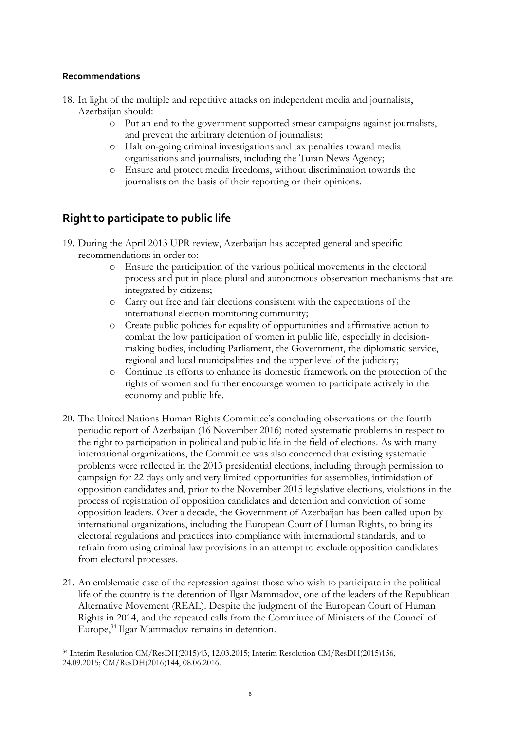### **Recommendations**

 $\overline{a}$ 

- 18. In light of the multiple and repetitive attacks on independent media and journalists, Azerbaijan should:
	- o Put an end to the government supported smear campaigns against journalists, and prevent the arbitrary detention of journalists;
	- o Halt on-going criminal investigations and tax penalties toward media organisations and journalists, including the Turan News Agency;
	- o Ensure and protect media freedoms, without discrimination towards the journalists on the basis of their reporting or their opinions.

# **Right to participate to public life**

- 19. During the April 2013 UPR review, Azerbaijan has accepted general and specific recommendations in order to:
	- o Ensure the participation of the various political movements in the electoral process and put in place plural and autonomous observation mechanisms that are integrated by citizens;
	- o Carry out free and fair elections consistent with the expectations of the international election monitoring community;
	- o Create public policies for equality of opportunities and affirmative action to combat the low participation of women in public life, especially in decisionmaking bodies, including Parliament, the Government, the diplomatic service, regional and local municipalities and the upper level of the judiciary;
	- o Continue its efforts to enhance its domestic framework on the protection of the rights of women and further encourage women to participate actively in the economy and public life.
- 20. The United Nations Human Rights Committee's concluding observations on the fourth periodic report of Azerbaijan (16 November 2016) noted systematic problems in respect to the right to participation in political and public life in the field of elections. As with many international organizations, the Committee was also concerned that existing systematic problems were reflected in the 2013 presidential elections, including through permission to campaign for 22 days only and very limited opportunities for assemblies, intimidation of opposition candidates and, prior to the November 2015 legislative elections, violations in the process of registration of opposition candidates and detention and conviction of some opposition leaders. Over a decade, the Government of Azerbaijan has been called upon by international organizations, including the European Court of Human Rights, to bring its electoral regulations and practices into compliance with international standards, and to refrain from using criminal law provisions in an attempt to exclude opposition candidates from electoral processes.
- 21. An emblematic case of the repression against those who wish to participate in the political life of the country is the detention of Ilgar Mammadov, one of the leaders of the Republican Alternative Movement (REAL). Despite the judgment of the European Court of Human Rights in 2014, and the repeated calls from the Committee of Ministers of the Council of Europe,<sup>34</sup> Ilgar Mammadov remains in detention.

<sup>34</sup> Interim Resolution CM/ResDH(2015)43, 12.03.2015; Interim Resolution CM/ResDH(2015)156, 24.09.2015; CM/ResDH(2016)144, 08.06.2016.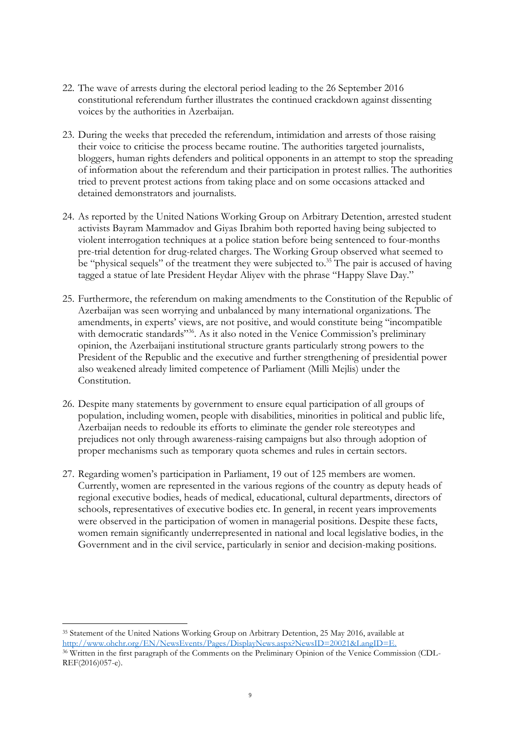- 22. The wave of arrests during the electoral period leading to the 26 September 2016 constitutional referendum further illustrates the continued crackdown against dissenting voices by the authorities in Azerbaijan.
- 23. During the weeks that preceded the referendum, intimidation and arrests of those raising their voice to criticise the process became routine. The authorities targeted journalists, bloggers, human rights defenders and political opponents in an attempt to stop the spreading of information about the referendum and their participation in protest rallies. The authorities tried to prevent protest actions from taking place and on some occasions attacked and detained demonstrators and journalists.
- 24. As reported by the United Nations Working Group on Arbitrary Detention, arrested student activists Bayram Mammadov and Giyas Ibrahim both reported having being subjected to violent interrogation techniques at a police station before being sentenced to four-months pre-trial detention for drug-related charges. The Working Group observed what seemed to be "physical sequels" of the treatment they were subjected to.<sup>35</sup> The pair is accused of having tagged a statue of late President Heydar Aliyev with the phrase "Happy Slave Day."
- 25. Furthermore, the referendum on making amendments to the Constitution of the Republic of Azerbaijan was seen worrying and unbalanced by many international organizations. The amendments, in experts' views, are not positive, and would constitute being "incompatible with democratic standards"<sup>36</sup>. As it also noted in the Venice Commission's preliminary opinion, the Azerbaijani institutional structure grants particularly strong powers to the President of the Republic and the executive and further strengthening of presidential power also weakened already limited competence of Parliament (Milli Mejlis) under the Constitution.
- 26. Despite many statements by government to ensure equal participation of all groups of population, including women, people with disabilities, minorities in political and public life, Azerbaijan needs to redouble its efforts to eliminate the gender role stereotypes and prejudices not only through awareness-raising campaigns but also through adoption of proper mechanisms such as temporary quota schemes and rules in certain sectors.
- 27. Regarding women's participation in Parliament, 19 out of 125 members are women. Currently, women are represented in the various regions of the country as deputy heads of regional executive bodies, heads of medical, educational, cultural departments, directors of schools, representatives of executive bodies etc. In general, in recent years improvements were observed in the participation of women in managerial positions. Despite these facts, women remain significantly underrepresented in national and local legislative bodies, in the Government and in the civil service, particularly in senior and decision-making positions.

 $\overline{a}$ <sup>35</sup> Statement of the United Nations Working Group on Arbitrary Detention, 25 May 2016, available at [http://www.ohchr.org/EN/NewsEvents/Pages/DisplayNews.aspx?NewsID=20021&LangID=E.](http://www.ohchr.org/EN/NewsEvents/Pages/DisplayNews.aspx?NewsID=20021&LangID=E)

<sup>36</sup> Written in the first paragraph of the Comments on the Preliminary Opinion of the Venice Commission (CDL-REF(2016)057-e).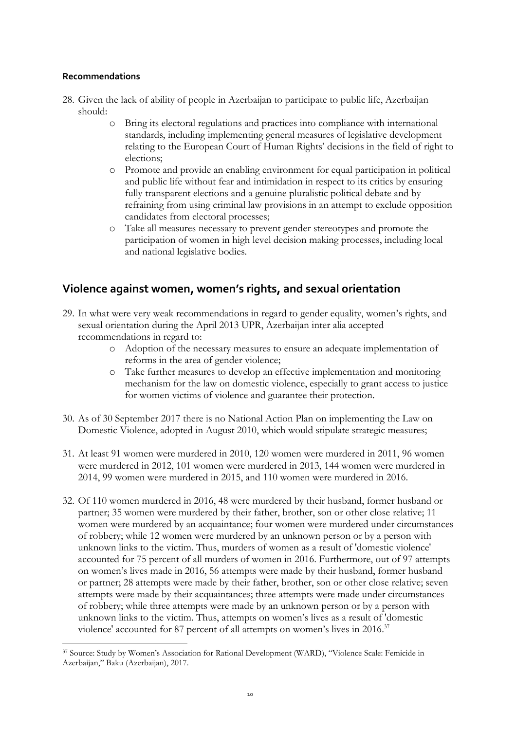### **Recommendations**

 $\overline{a}$ 

- 28. Given the lack of ability of people in Azerbaijan to participate to public life, Azerbaijan should:
	- o Bring its electoral regulations and practices into compliance with international standards, including implementing general measures of legislative development relating to the European Court of Human Rights' decisions in the field of right to elections;
	- o Promote and provide an enabling environment for equal participation in political and public life without fear and intimidation in respect to its critics by ensuring fully transparent elections and a genuine pluralistic political debate and by refraining from using criminal law provisions in an attempt to exclude opposition candidates from electoral processes;
	- o Take all measures necessary to prevent gender stereotypes and promote the participation of women in high level decision making processes, including local and national legislative bodies.

# **Violence against women, women's rights, and sexual orientation**

- 29. In what were very weak recommendations in regard to gender equality, women's rights, and sexual orientation during the April 2013 UPR, Azerbaijan inter alia accepted recommendations in regard to:
	- o Adoption of the necessary measures to ensure an adequate implementation of reforms in the area of gender violence;
	- o Take further measures to develop an effective implementation and monitoring mechanism for the law on domestic violence, especially to grant access to justice for women victims of violence and guarantee their protection.
- 30. As of 30 September 2017 there is no National Action Plan on implementing the Law on Domestic Violence, adopted in August 2010, which would stipulate strategic measures;
- 31. At least 91 women were murdered in 2010, 120 women were murdered in 2011, 96 women were murdered in 2012, 101 women were murdered in 2013, 144 women were murdered in 2014, 99 women were murdered in 2015, and 110 women were murdered in 2016.
- 32. Of 110 women murdered in 2016, 48 were murdered by their husband, former husband or partner; 35 women were murdered by their father, brother, son or other close relative; 11 women were murdered by an acquaintance; four women were murdered under circumstances of robbery; while 12 women were murdered by an unknown person or by a person with unknown links to the victim. Thus, murders of women as a result of 'domestic violence' accounted for 75 percent of all murders of women in 2016. Furthermore, out of 97 attempts on women's lives made in 2016, 56 attempts were made by their husband, former husband or partner; 28 attempts were made by their father, brother, son or other close relative; seven attempts were made by their acquaintances; three attempts were made under circumstances of robbery; while three attempts were made by an unknown person or by a person with unknown links to the victim. Thus, attempts on women's lives as a result of 'domestic violence' accounted for 87 percent of all attempts on women's lives in 2016.<sup>37</sup>

<sup>37</sup> Source: Study by Women's Association for Rational Development (WARD), "Violence Scale: Femicide in Azerbaijan," Baku (Azerbaijan), 2017.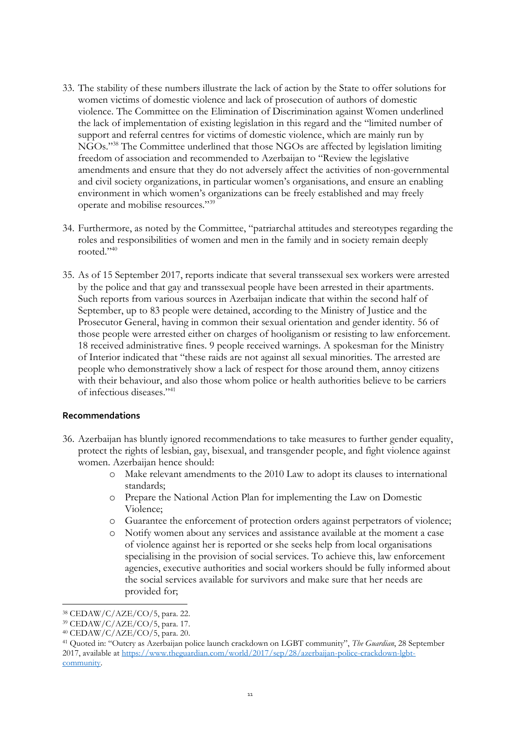- 33. The stability of these numbers illustrate the lack of action by the State to offer solutions for women victims of domestic violence and lack of prosecution of authors of domestic violence. The Committee on the Elimination of Discrimination against Women underlined the lack of implementation of existing legislation in this regard and the "limited number of support and referral centres for victims of domestic violence, which are mainly run by NGOs."<sup>38</sup> The Committee underlined that those NGOs are affected by legislation limiting freedom of association and recommended to Azerbaijan to "Review the legislative amendments and ensure that they do not adversely affect the activities of non-governmental and civil society organizations, in particular women's organisations, and ensure an enabling environment in which women's organizations can be freely established and may freely operate and mobilise resources."<sup>39</sup>
- 34. Furthermore, as noted by the Committee, "patriarchal attitudes and stereotypes regarding the roles and responsibilities of women and men in the family and in society remain deeply rooted."<sup>40</sup>
- 35. As of 15 September 2017, reports indicate that several transsexual sex workers were arrested by the police and that gay and transsexual people have been arrested in their apartments. Such reports from various sources in Azerbaijan indicate that within the second half of September, up to 83 people were detained, according to the Ministry of Justice and the Prosecutor General, having in common their sexual orientation and gender identity. 56 of those people were arrested either on charges of hooliganism or resisting to law enforcement. 18 received administrative fines. 9 people received warnings. A spokesman for the Ministry of Interior indicated that "these raids are not against all sexual minorities. The arrested are people who demonstratively show a lack of respect for those around them, annoy citizens with their behaviour, and also those whom police or health authorities believe to be carriers of infectious diseases."<sup>41</sup>

#### **Recommendations**

- 36. Azerbaijan has bluntly ignored recommendations to take measures to further gender equality, protect the rights of lesbian, gay, bisexual, and transgender people, and fight violence against women. Azerbaijan hence should:
	- o Make relevant amendments to the 2010 Law to adopt its clauses to international standards;
	- o Prepare the National Action Plan for implementing the Law on Domestic Violence;
	- o Guarantee the enforcement of protection orders against perpetrators of violence;
	- o Notify women about any services and assistance available at the moment a case of violence against her is reported or she seeks help from local organisations specialising in the provision of social services. To achieve this, law enforcement agencies, executive authorities and social workers should be fully informed about the social services available for survivors and make sure that her needs are provided for;

 $\overline{a}$ 

<sup>38</sup> CEDAW/C/AZE/CO/5, para. 22.

<sup>39</sup> CEDAW/C/AZE/CO/5, para. 17.

<sup>40</sup> CEDAW/C/AZE/CO/5, para. 20.

<sup>41</sup> Quoted in: "Outcry as Azerbaijan police launch crackdown on LGBT community", *The Guardian*, 28 September 2017, available at [https://www.theguardian.com/world/2017/sep/28/azerbaijan-police-crackdown-lgbt](https://www.theguardian.com/world/2017/sep/28/azerbaijan-police-crackdown-lgbt-community)[community.](https://www.theguardian.com/world/2017/sep/28/azerbaijan-police-crackdown-lgbt-community)